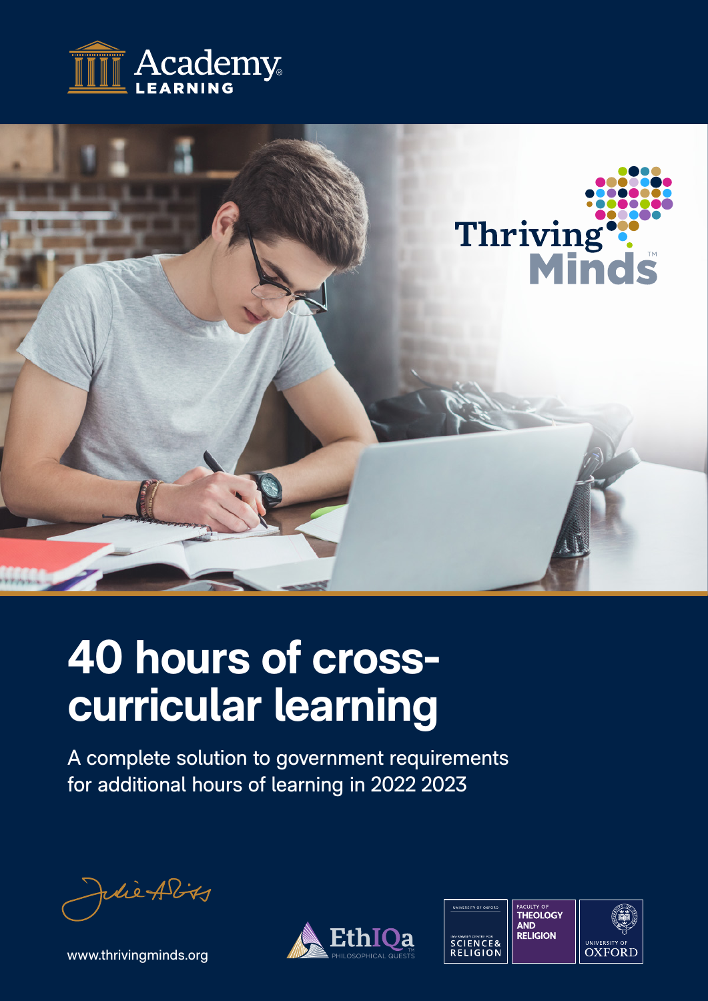



# **40 hours of crosscurricular learning**

A complete solution to government requirements for additional hours of learning in 2022 2023

die Ality

[www.thrivingminds.org](http://www.thrivingminds.org)



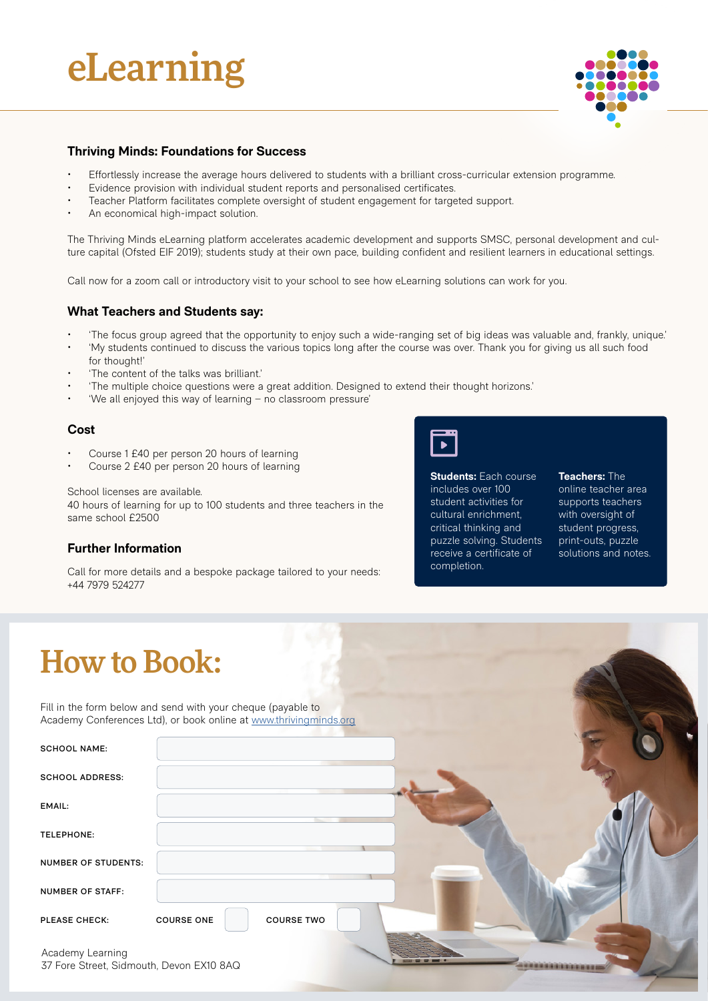## eLearning



#### **Thriving Minds: Foundations for Success**

- Effortlessly increase the average hours delivered to students with a brilliant cross-curricular extension programme.
- Evidence provision with individual student reports and personalised certificates.
- Teacher Platform facilitates complete oversight of student engagement for targeted support.
- An economical high-impact solution.

The Thriving Minds eLearning platform accelerates academic development and supports SMSC, personal development and culture capital (Ofsted EIF 2019); students study at their own pace, building confident and resilient learners in educational settings.

Call now for a zoom call or introductory visit to your school to see how eLearning solutions can work for you.

#### **What Teachers and Students say:**

- 'The focus group agreed that the opportunity to enjoy such a wide-ranging set of big ideas was valuable and, frankly, unique.'
- 'My students continued to discuss the various topics long after the course was over. Thank you for giving us all such food for thought!'
- 'The content of the talks was brilliant.'
- 'The multiple choice questions were a great addition. Designed to extend their thought horizons.'
- 'We all enjoyed this way of learning no classroom pressure'

#### **Cost**

- Course 1 £40 per person 20 hours of learning
- Course 2 £40 per person 20 hours of learning

School licenses are available.

40 hours of learning for up to 100 students and three teachers in the same school £2500

#### **Further Information**

Call for more details and a bespoke package tailored to your needs: +44 7979 524277



**Students:** Each course includes over 100 student activities for cultural enrichment, critical thinking and puzzle solving. Students receive a certificate of completion.

**Teachers:** The

online teacher area supports teachers with oversight of student progress, print-outs, puzzle solutions and notes.

### How to Book:

Fill in the form below and send with your cheque (payable to Academy Conferences Ltd), or book online at [www.thrivingminds.org](https://thrivingminds.org/)

| <b>SCHOOL NAME:</b>                                          |                                        |
|--------------------------------------------------------------|----------------------------------------|
| <b>SCHOOL ADDRESS:</b>                                       |                                        |
| EMAIL:                                                       |                                        |
| TELEPHONE:                                                   |                                        |
| NUMBER OF STUDENTS:                                          |                                        |
| <b>NUMBER OF STAFF:</b>                                      |                                        |
| PLEASE CHECK:                                                | <b>COURSE ONE</b><br><b>COURSE TWO</b> |
| Academy Learning<br>37 Fore Street, Sidmouth, Devon EX10 8AQ |                                        |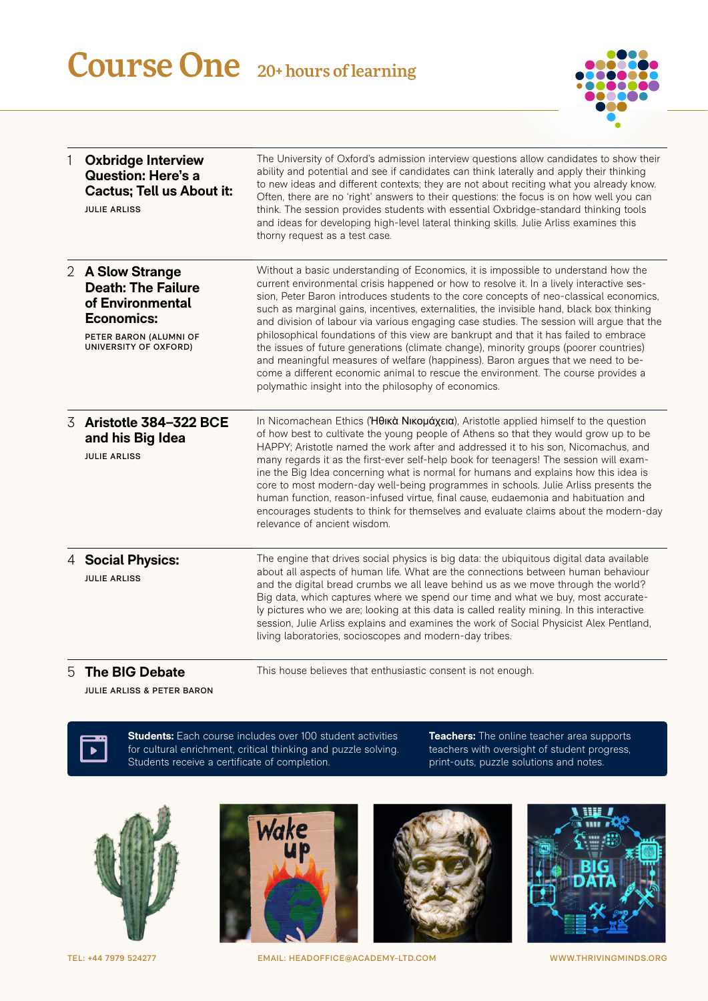## Course One 20+ hours of learning



| 1 | <b>Oxbridge Interview</b><br><b>Question: Here's a</b><br><b>Cactus: Tell us About it:</b><br><b>JULIE ARLISS</b>                         | The University of Oxford's admission interview questions allow candidates to show their<br>ability and potential and see if candidates can think laterally and apply their thinking<br>to new ideas and different contexts; they are not about reciting what you already know.<br>Often, there are no 'right' answers to their questions: the focus is on how well you can<br>think. The session provides students with essential Oxbridge-standard thinking tools<br>and ideas for developing high-level lateral thinking skills. Julie Arliss examines this<br>thorny request as a test case.                                                                                                                                                                                                                                                                                       |
|---|-------------------------------------------------------------------------------------------------------------------------------------------|---------------------------------------------------------------------------------------------------------------------------------------------------------------------------------------------------------------------------------------------------------------------------------------------------------------------------------------------------------------------------------------------------------------------------------------------------------------------------------------------------------------------------------------------------------------------------------------------------------------------------------------------------------------------------------------------------------------------------------------------------------------------------------------------------------------------------------------------------------------------------------------|
|   | 2 A Slow Strange<br><b>Death: The Failure</b><br>of Environmental<br><b>Economics:</b><br>PETER BARON (ALUMNI OF<br>UNIVERSITY OF OXFORD) | Without a basic understanding of Economics, it is impossible to understand how the<br>current environmental crisis happened or how to resolve it. In a lively interactive ses-<br>sion, Peter Baron introduces students to the core concepts of neo-classical economics,<br>such as marginal gains, incentives, externalities, the invisible hand, black box thinking<br>and division of labour via various engaging case studies. The session will argue that the<br>philosophical foundations of this view are bankrupt and that it has failed to embrace<br>the issues of future generations (climate change), minority groups (poorer countries)<br>and meaningful measures of welfare (happiness). Baron argues that we need to be-<br>come a different economic animal to rescue the environment. The course provides a<br>polymathic insight into the philosophy of economics. |
| 3 | Aristotle 384-322 BCE<br>and his Big Idea<br><b>JULIE ARLISS</b>                                                                          | In Nicomachean Ethics (Ήθικά Νικομάχεια), Aristotle applied himself to the question<br>of how best to cultivate the young people of Athens so that they would grow up to be<br>HAPPY; Aristotle named the work after and addressed it to his son, Nicomachus, and<br>many regards it as the first-ever self-help book for teenagers! The session will exam-<br>ine the Big Idea concerning what is normal for humans and explains how this idea is<br>core to most modern-day well-being programmes in schools. Julie Arliss presents the<br>human function, reason-infused virtue, final cause, eudaemonia and habituation and<br>encourages students to think for themselves and evaluate claims about the modern-day<br>relevance of ancient wisdom.                                                                                                                               |
|   | 4 Social Physics:<br><b>JULIE ARLISS</b>                                                                                                  | The engine that drives social physics is big data: the ubiquitous digital data available<br>about all aspects of human life. What are the connections between human behaviour<br>and the digital bread crumbs we all leave behind us as we move through the world?<br>Big data, which captures where we spend our time and what we buy, most accurate-<br>ly pictures who we are; looking at this data is called reality mining. In this interactive<br>session, Julie Arliss explains and examines the work of Social Physicist Alex Pentland,<br>living laboratories, socioscopes and modern-day tribes.                                                                                                                                                                                                                                                                            |
|   | <b>The BIG Debate</b>                                                                                                                     | This house believes that enthusiastic consent is not enough.                                                                                                                                                                                                                                                                                                                                                                                                                                                                                                                                                                                                                                                                                                                                                                                                                          |

5 **The BIG Debate**

This house believes that enthusiastic consent is not enough.

**JULIE ARLISS & PETER BARON**



**Students:** Each course includes over 100 student activities for cultural enrichment, critical thinking and puzzle solving. Students receive a certificate of completion.

**Teachers:** The online teacher area supports teachers with oversight of student progress, print-outs, puzzle solutions and notes.







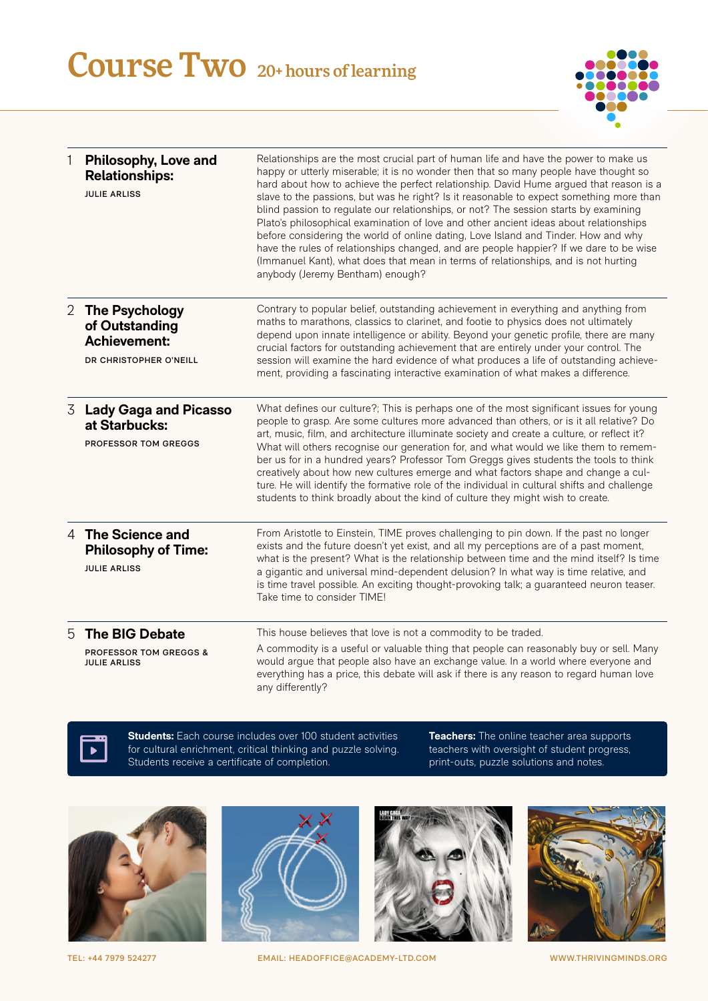### Course Two 20+ hours of learning



| 1              | Philosophy, Love and<br><b>Relationships:</b><br><b>JULIE ARLISS</b>                     | Relationships are the most crucial part of human life and have the power to make us<br>happy or utterly miserable; it is no wonder then that so many people have thought so<br>hard about how to achieve the perfect relationship. David Hume argued that reason is a<br>slave to the passions, but was he right? Is it reasonable to expect something more than<br>blind passion to regulate our relationships, or not? The session starts by examining<br>Plato's philosophical examination of love and other ancient ideas about relationships<br>before considering the world of online dating, Love Island and Tinder. How and why<br>have the rules of relationships changed, and are people happier? If we dare to be wise<br>(Immanuel Kant), what does that mean in terms of relationships, and is not hurting<br>anybody (Jeremy Bentham) enough? |
|----------------|------------------------------------------------------------------------------------------|-------------------------------------------------------------------------------------------------------------------------------------------------------------------------------------------------------------------------------------------------------------------------------------------------------------------------------------------------------------------------------------------------------------------------------------------------------------------------------------------------------------------------------------------------------------------------------------------------------------------------------------------------------------------------------------------------------------------------------------------------------------------------------------------------------------------------------------------------------------|
| $\overline{2}$ | <b>The Psychology</b><br>of Outstanding<br><b>Achievement:</b><br>DR CHRISTOPHER O'NEILL | Contrary to popular belief, outstanding achievement in everything and anything from<br>maths to marathons, classics to clarinet, and footie to physics does not ultimately<br>depend upon innate intelligence or ability. Beyond your genetic profile, there are many<br>crucial factors for outstanding achievement that are entirely under your control. The<br>session will examine the hard evidence of what produces a life of outstanding achieve-<br>ment, providing a fascinating interactive examination of what makes a difference.                                                                                                                                                                                                                                                                                                               |
| 3              | <b>Lady Gaga and Picasso</b><br>at Starbucks:<br>PROFESSOR TOM GREGGS                    | What defines our culture?; This is perhaps one of the most significant issues for young<br>people to grasp. Are some cultures more advanced than others, or is it all relative? Do<br>art, music, film, and architecture illuminate society and create a culture, or reflect it?<br>What will others recognise our generation for, and what would we like them to remem-<br>ber us for in a hundred years? Professor Tom Greggs gives students the tools to think<br>creatively about how new cultures emerge and what factors shape and change a cul-<br>ture. He will identify the formative role of the individual in cultural shifts and challenge<br>students to think broadly about the kind of culture they might wish to create.                                                                                                                    |
|                | 4 The Science and<br><b>Philosophy of Time:</b><br><b>JULIE ARLISS</b>                   | From Aristotle to Einstein, TIME proves challenging to pin down. If the past no longer<br>exists and the future doesn't yet exist, and all my perceptions are of a past moment,<br>what is the present? What is the relationship between time and the mind itself? Is time<br>a gigantic and universal mind-dependent delusion? In what way is time relative, and<br>is time travel possible. An exciting thought-provoking talk; a guaranteed neuron teaser.<br>Take time to consider TIME!                                                                                                                                                                                                                                                                                                                                                                |
| 5              | The BIG Debate<br><b>PROFESSOR TOM GREGGS &amp;</b><br><b>JULIE ARLISS</b>               | This house believes that love is not a commodity to be traded.<br>A commodity is a useful or valuable thing that people can reasonably buy or sell. Many<br>would argue that people also have an exchange value. In a world where everyone and<br>everything has a price, this debate will ask if there is any reason to regard human love<br>any differently?                                                                                                                                                                                                                                                                                                                                                                                                                                                                                              |



**Students:** Each course includes over 100 student activities for cultural enrichment, critical thinking and puzzle solving. Students receive a certificate of completion.

**Teachers:** The online teacher area supports teachers with oversight of student progress, print-outs, puzzle solutions and notes.